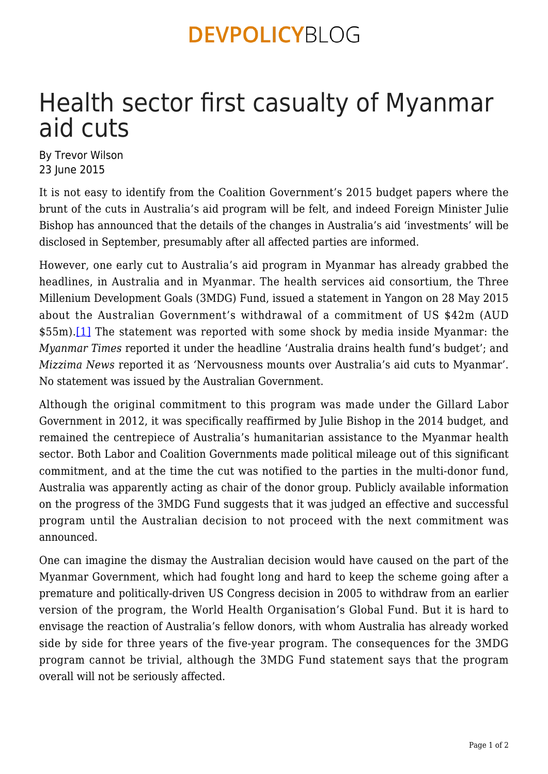### **DEVPOLICYBLOG**

# Health sector first casualty of Myanmar aid cuts

By Trevor Wilson 23 June 2015

It is not easy to identify from the Coalition Government's 2015 budget papers where the brunt of the cuts in Australia's aid program will be felt, and indeed Foreign Minister Julie Bishop has announced that the details of the changes in Australia's aid 'investments' will be disclosed in September, presumably after all affected parties are informed.

<span id="page-0-0"></span>However, one early cut to Australia's aid program in Myanmar has already grabbed the headlines, in Australia and in Myanmar. The health services aid consortium, the Three Millenium Development Goals (3MDG) Fund, issued a statement in Yangon on 28 May 2015 about the Australian Government's withdrawal of a commitment of US \$42m (AUD \$55m).[\[1\]](#page-1-0) The statement was reported with some shock by media inside Myanmar: the *Myanmar Times* reported it under the headline 'Australia drains health fund's budget'; and *Mizzima News* reported it as *'*Nervousness mounts over Australia's aid cuts to Myanmar'. No statement was issued by the Australian Government.

Although the original commitment to this program was made under the Gillard Labor Government in 2012, it was specifically reaffirmed by Julie Bishop in the 2014 budget, and remained the centrepiece of Australia's humanitarian assistance to the Myanmar health sector. Both Labor and Coalition Governments made political mileage out of this significant commitment, and at the time the cut was notified to the parties in the multi-donor fund, Australia was apparently acting as chair of the donor group. Publicly available information on the progress of the 3MDG Fund suggests that it was judged an effective and successful program until the Australian decision to not proceed with the next commitment was announced.

One can imagine the dismay the Australian decision would have caused on the part of the Myanmar Government, which had fought long and hard to keep the scheme going after a premature and politically-driven US Congress decision in 2005 to withdraw from an earlier version of the program, the World Health Organisation's Global Fund. But it is hard to envisage the reaction of Australia's fellow donors, with whom Australia has already worked side by side for three years of the five-year program. The consequences for the 3MDG program cannot be trivial, although the 3MDG Fund statement says that the program overall will not be seriously affected.